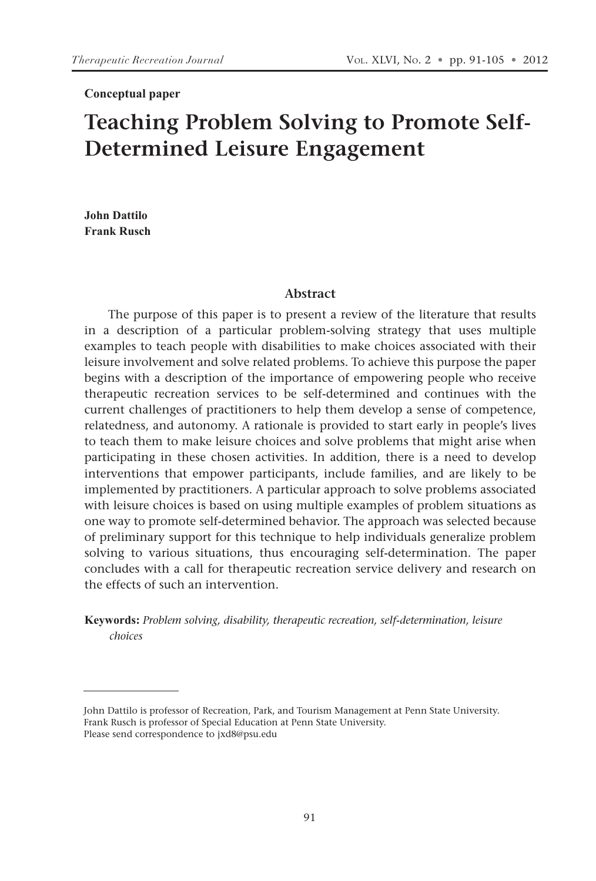#### **Conceptual paper**

# **Teaching Problem Solving to Promote Self-Determined Leisure Engagement**

**John Dattilo Frank Rusch**

#### **Abstract**

The purpose of this paper is to present a review of the literature that results in a description of a particular problem-solving strategy that uses multiple examples to teach people with disabilities to make choices associated with their leisure involvement and solve related problems. To achieve this purpose the paper begins with a description of the importance of empowering people who receive therapeutic recreation services to be self-determined and continues with the current challenges of practitioners to help them develop a sense of competence, relatedness, and autonomy. A rationale is provided to start early in people's lives to teach them to make leisure choices and solve problems that might arise when participating in these chosen activities. In addition, there is a need to develop interventions that empower participants, include families, and are likely to be implemented by practitioners. A particular approach to solve problems associated with leisure choices is based on using multiple examples of problem situations as one way to promote self-determined behavior. The approach was selected because of preliminary support for this technique to help individuals generalize problem solving to various situations, thus encouraging self-determination. The paper concludes with a call for therapeutic recreation service delivery and research on the effects of such an intervention.

**Keywords:** *Problem solving, disability, therapeutic recreation, self-determination, leisure choices*

John Dattilo is professor of Recreation, Park, and Tourism Management at Penn State University. Frank Rusch is professor of Special Education at Penn State University. Please send correspondence to jxd8@psu.edu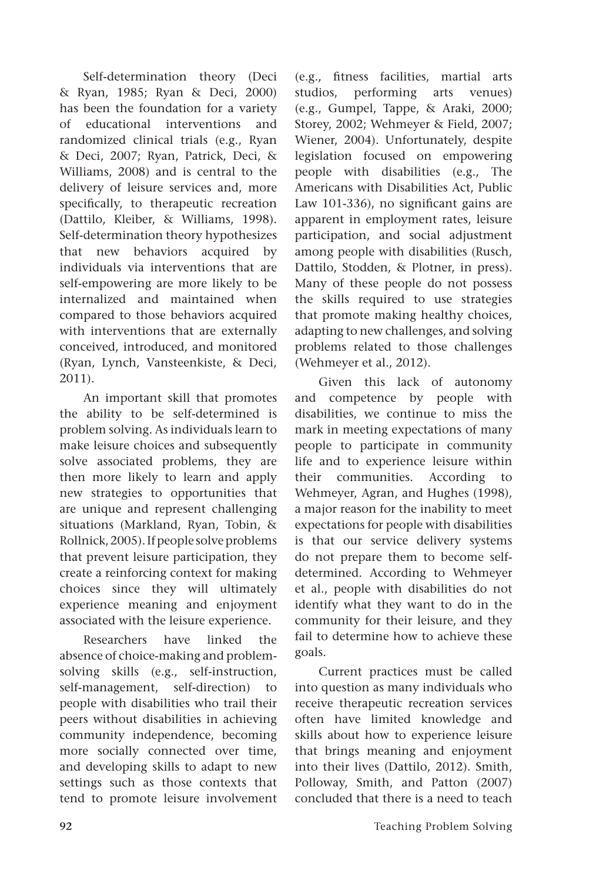Self-determination theory (Deci & Ryan, 1985; Ryan & Deci, 2000) has been the foundation for a variety of educational interventions and randomized clinical trials (e.g., Ryan & Deci, 2007; Ryan, Patrick, Deci, & Williams, 2008) and is central to the delivery of leisure services and, more specifically, to therapeutic recreation (Dattilo, Kleiber, & Williams, 1998). Self-determination theory hypothesizes that new behaviors acquired by individuals via interventions that are self-empowering are more likely to be internalized and maintained when compared to those behaviors acquired with interventions that are externally conceived, introduced, and monitored (Ryan, Lynch, Vansteenkiste, & Deci, 2011).

An important skill that promotes the ability to be self-determined is problem solving. As individuals learn to make leisure choices and subsequently solve associated problems, they are then more likely to learn and apply new strategies to opportunities that are unique and represent challenging situations (Markland, Ryan, Tobin, & Rollnick, 2005). If people solve problems that prevent leisure participation, they create a reinforcing context for making choices since they will ultimately experience meaning and enjoyment associated with the leisure experience.

Researchers have linked the absence of choice-making and problemsolving skills (e.g., self-instruction, self-management, self-direction) to people with disabilities who trail their peers without disabilities in achieving community independence, becoming more socially connected over time, and developing skills to adapt to new settings such as those contexts that tend to promote leisure involvement (e.g., fitness facilities, martial arts studios, performing arts venues) (e.g., Gumpel, Tappe, & Araki, 2000; Storey, 2002; Wehmeyer & Field, 2007; Wiener, 2004). Unfortunately, despite legislation focused on empowering people with disabilities (e.g., The Americans with Disabilities Act, Public Law 101-336), no significant gains are apparent in employment rates, leisure participation, and social adjustment among people with disabilities (Rusch, Dattilo, Stodden, & Plotner, in press). Many of these people do not possess the skills required to use strategies that promote making healthy choices, adapting to new challenges, and solving problems related to those challenges (Wehmeyer et al., 2012).

Given this lack of autonomy and competence by people with disabilities, we continue to miss the mark in meeting expectations of many people to participate in community life and to experience leisure within their communities. According to Wehmeyer, Agran, and Hughes (1998), a major reason for the inability to meet expectations for people with disabilities is that our service delivery systems do not prepare them to become selfdetermined. According to Wehmeyer et al., people with disabilities do not identify what they want to do in the community for their leisure, and they fail to determine how to achieve these goals.

Current practices must be called into question as many individuals who receive therapeutic recreation services often have limited knowledge and skills about how to experience leisure that brings meaning and enjoyment into their lives (Dattilo, 2012). Smith, Polloway, Smith, and Patton (2007) concluded that there is a need to teach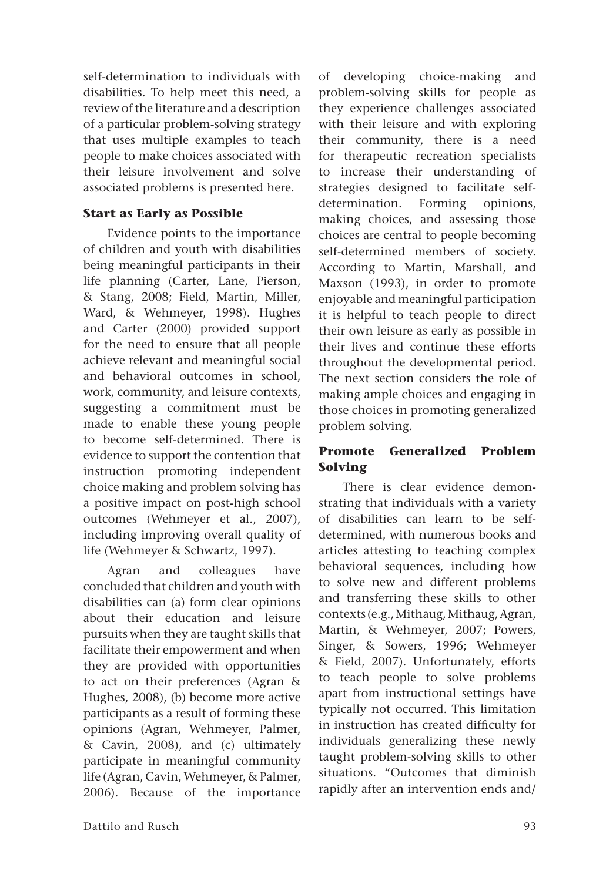self-determination to individuals with disabilities. To help meet this need, a review of the literature and a description of a particular problem-solving strategy that uses multiple examples to teach people to make choices associated with their leisure involvement and solve associated problems is presented here.

### **Start as Early as Possible**

Evidence points to the importance of children and youth with disabilities being meaningful participants in their life planning (Carter, Lane, Pierson, & Stang, 2008; Field, Martin, Miller, Ward, & Wehmeyer, 1998). Hughes and Carter (2000) provided support for the need to ensure that all people achieve relevant and meaningful social and behavioral outcomes in school, work, community, and leisure contexts, suggesting a commitment must be made to enable these young people to become self-determined. There is evidence to support the contention that instruction promoting independent choice making and problem solving has a positive impact on post-high school outcomes (Wehmeyer et al., 2007), including improving overall quality of life (Wehmeyer & Schwartz, 1997).

Agran and colleagues have concluded that children and youth with disabilities can (a) form clear opinions about their education and leisure pursuits when they are taught skills that facilitate their empowerment and when they are provided with opportunities to act on their preferences (Agran & Hughes, 2008), (b) become more active participants as a result of forming these opinions (Agran, Wehmeyer, Palmer, & Cavin, 2008), and (c) ultimately participate in meaningful community life (Agran, Cavin, Wehmeyer, & Palmer, 2006). Because of the importance of developing choice-making and problem-solving skills for people as they experience challenges associated with their leisure and with exploring their community, there is a need for therapeutic recreation specialists to increase their understanding of strategies designed to facilitate selfdetermination. Forming opinions, making choices, and assessing those choices are central to people becoming self-determined members of society. According to Martin, Marshall, and Maxson (1993), in order to promote enjoyable and meaningful participation it is helpful to teach people to direct their own leisure as early as possible in their lives and continue these efforts throughout the developmental period. The next section considers the role of making ample choices and engaging in those choices in promoting generalized problem solving.

# **Promote Generalized Problem Solving**

There is clear evidence demonstrating that individuals with a variety of disabilities can learn to be selfdetermined, with numerous books and articles attesting to teaching complex behavioral sequences, including how to solve new and different problems and transferring these skills to other contexts (e.g., Mithaug, Mithaug, Agran, Martin, & Wehmeyer, 2007; Powers, Singer, & Sowers, 1996; Wehmeyer & Field, 2007). Unfortunately, efforts to teach people to solve problems apart from instructional settings have typically not occurred. This limitation in instruction has created difficulty for individuals generalizing these newly taught problem-solving skills to other situations. "Outcomes that diminish rapidly after an intervention ends and/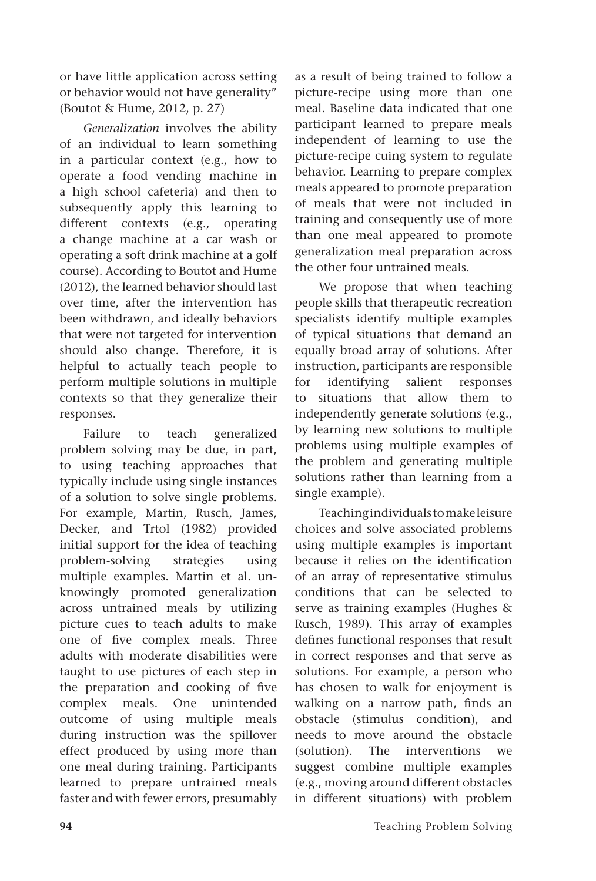or have little application across setting or behavior would not have generality" (Boutot & Hume, 2012, p. 27)

*Generalization* involves the ability of an individual to learn something in a particular context (e.g., how to operate a food vending machine in a high school cafeteria) and then to subsequently apply this learning to different contexts (e.g., operating a change machine at a car wash or operating a soft drink machine at a golf course). According to Boutot and Hume (2012), the learned behavior should last over time, after the intervention has been withdrawn, and ideally behaviors that were not targeted for intervention should also change. Therefore, it is helpful to actually teach people to perform multiple solutions in multiple contexts so that they generalize their responses.

Failure to teach generalized problem solving may be due, in part, to using teaching approaches that typically include using single instances of a solution to solve single problems. For example, Martin, Rusch, James, Decker, and Trtol (1982) provided initial support for the idea of teaching problem-solving strategies using multiple examples. Martin et al. unknowingly promoted generalization across untrained meals by utilizing picture cues to teach adults to make one of five complex meals. Three adults with moderate disabilities were taught to use pictures of each step in the preparation and cooking of five complex meals. One unintended outcome of using multiple meals during instruction was the spillover effect produced by using more than one meal during training. Participants learned to prepare untrained meals faster and with fewer errors, presumably as a result of being trained to follow a picture-recipe using more than one meal. Baseline data indicated that one participant learned to prepare meals independent of learning to use the picture-recipe cuing system to regulate behavior. Learning to prepare complex meals appeared to promote preparation of meals that were not included in training and consequently use of more than one meal appeared to promote generalization meal preparation across the other four untrained meals.

We propose that when teaching people skills that therapeutic recreation specialists identify multiple examples of typical situations that demand an equally broad array of solutions. After instruction, participants are responsible for identifying salient responses to situations that allow them to independently generate solutions (e.g., by learning new solutions to multiple problems using multiple examples of the problem and generating multiple solutions rather than learning from a single example).

Teaching individuals to make leisure choices and solve associated problems using multiple examples is important because it relies on the identification of an array of representative stimulus conditions that can be selected to serve as training examples (Hughes & Rusch, 1989). This array of examples defines functional responses that result in correct responses and that serve as solutions. For example, a person who has chosen to walk for enjoyment is walking on a narrow path, finds an obstacle (stimulus condition), and needs to move around the obstacle (solution). The interventions we suggest combine multiple examples (e.g., moving around different obstacles in different situations) with problem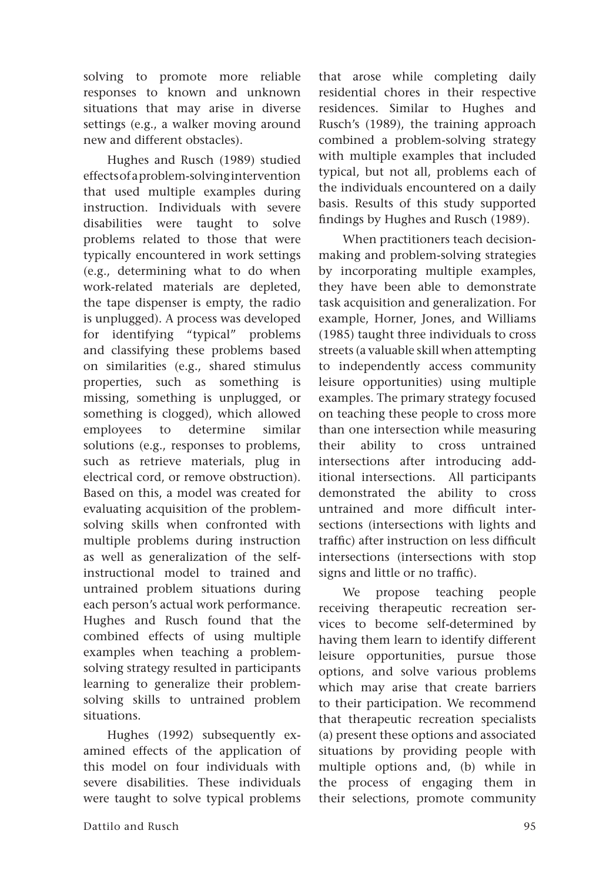solving to promote more reliable responses to known and unknown situations that may arise in diverse settings (e.g., a walker moving around new and different obstacles).

Hughes and Rusch (1989) studied effects of a problem-solving intervention that used multiple examples during instruction. Individuals with severe disabilities were taught to solve problems related to those that were typically encountered in work settings (e.g., determining what to do when work-related materials are depleted, the tape dispenser is empty, the radio is unplugged). A process was developed for identifying "typical" problems and classifying these problems based on similarities (e.g., shared stimulus properties, such as something is missing, something is unplugged, or something is clogged), which allowed employees to determine similar solutions (e.g., responses to problems, such as retrieve materials, plug in electrical cord, or remove obstruction). Based on this, a model was created for evaluating acquisition of the problemsolving skills when confronted with multiple problems during instruction as well as generalization of the selfinstructional model to trained and untrained problem situations during each person's actual work performance. Hughes and Rusch found that the combined effects of using multiple examples when teaching a problemsolving strategy resulted in participants learning to generalize their problemsolving skills to untrained problem situations.

Hughes (1992) subsequently examined effects of the application of this model on four individuals with severe disabilities. These individuals were taught to solve typical problems

that arose while completing daily residential chores in their respective residences. Similar to Hughes and Rusch's (1989), the training approach combined a problem-solving strategy with multiple examples that included typical, but not all, problems each of the individuals encountered on a daily basis. Results of this study supported findings by Hughes and Rusch (1989). When practitioners teach decision-

making and problem-solving strategies by incorporating multiple examples, they have been able to demonstrate task acquisition and generalization. For example, Horner, Jones, and Williams (1985) taught three individuals to cross streets (a valuable skill when attempting to independently access community leisure opportunities) using multiple examples. The primary strategy focused on teaching these people to cross more than one intersection while measuring their ability to cross untrained intersections after introducing additional intersections. All participants demonstrated the ability to cross untrained and more difficult intersections (intersections with lights and traffic) after instruction on less difficult intersections (intersections with stop signs and little or no traffic).

We propose teaching people receiving therapeutic recreation services to become self-determined by having them learn to identify different leisure opportunities, pursue those options, and solve various problems which may arise that create barriers to their participation. We recommend that therapeutic recreation specialists (a) present these options and associated situations by providing people with multiple options and, (b) while in the process of engaging them in their selections, promote community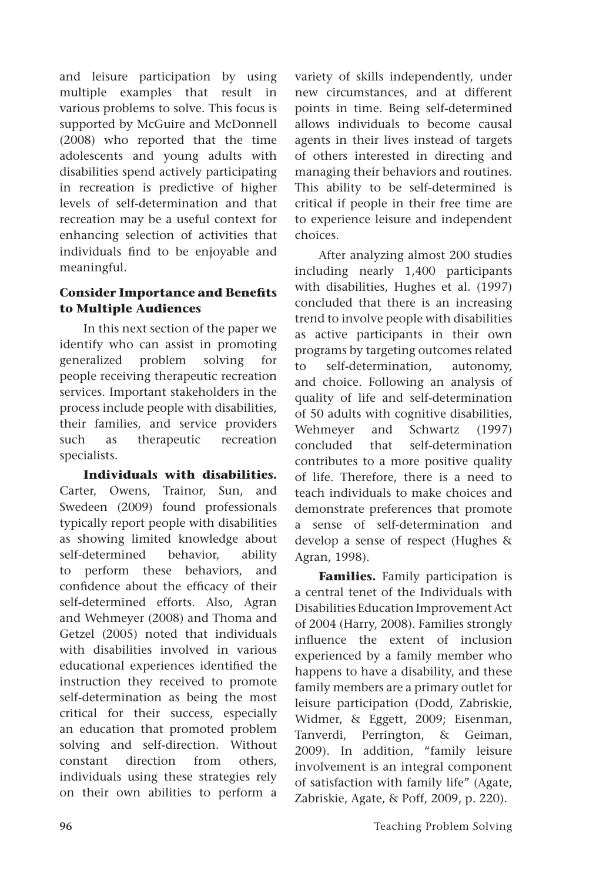and leisure participation by using multiple examples that result in various problems to solve. This focus is supported by McGuire and McDonnell (2008) who reported that the time adolescents and young adults with disabilities spend actively participating in recreation is predictive of higher levels of self-determination and that recreation may be a useful context for enhancing selection of activities that individuals find to be enjoyable and meaningful.

#### **Consider Importance and Benefits to Multiple Audiences**

In this next section of the paper we identify who can assist in promoting generalized problem solving for people receiving therapeutic recreation services. Important stakeholders in the process include people with disabilities, their families, and service providers such as therapeutic recreation specialists.

**Individuals with disabilities.**  Carter, Owens, Trainor, Sun, and Swedeen (2009) found professionals typically report people with disabilities as showing limited knowledge about self-determined behavior, ability to perform these behaviors, and confidence about the efficacy of their self-determined efforts. Also, Agran and Wehmeyer (2008) and Thoma and Getzel (2005) noted that individuals with disabilities involved in various educational experiences identified the instruction they received to promote self-determination as being the most critical for their success, especially an education that promoted problem solving and self-direction. Without constant direction from others, individuals using these strategies rely on their own abilities to perform a variety of skills independently, under new circumstances, and at different points in time. Being self-determined allows individuals to become causal agents in their lives instead of targets of others interested in directing and managing their behaviors and routines. This ability to be self-determined is critical if people in their free time are to experience leisure and independent choices.

After analyzing almost 200 studies including nearly 1,400 participants with disabilities, Hughes et al. (1997) concluded that there is an increasing trend to involve people with disabilities as active participants in their own programs by targeting outcomes related to self-determination, autonomy, and choice. Following an analysis of quality of life and self-determination of 50 adults with cognitive disabilities, Wehmeyer and Schwartz (1997) concluded that self-determination contributes to a more positive quality of life. Therefore, there is a need to teach individuals to make choices and demonstrate preferences that promote a sense of self-determination and develop a sense of respect (Hughes & Agran, 1998).

**Families.** Family participation is a central tenet of the Individuals with Disabilities Education Improvement Act of 2004 (Harry, 2008). Families strongly influence the extent of inclusion experienced by a family member who happens to have a disability, and these family members are a primary outlet for leisure participation (Dodd, Zabriskie, Widmer, & Eggett, 2009; Eisenman, Tanverdi, Perrington, & Geiman, 2009). In addition, "family leisure involvement is an integral component of satisfaction with family life" (Agate, Zabriskie, Agate, & Poff, 2009, p. 220).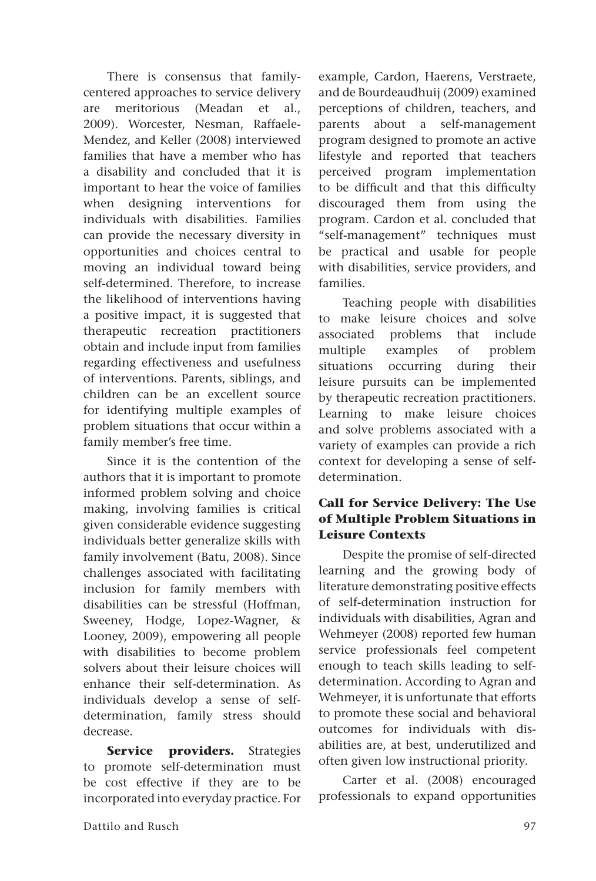There is consensus that familycentered approaches to service delivery are meritorious (Meadan et al., 2009). Worcester, Nesman, Raffaele-Mendez, and Keller (2008) interviewed families that have a member who has a disability and concluded that it is important to hear the voice of families when designing interventions for individuals with disabilities. Families can provide the necessary diversity in opportunities and choices central to moving an individual toward being self-determined. Therefore, to increase the likelihood of interventions having a positive impact, it is suggested that therapeutic recreation practitioners obtain and include input from families regarding effectiveness and usefulness of interventions. Parents, siblings, and children can be an excellent source for identifying multiple examples of problem situations that occur within a family member's free time.

Since it is the contention of the authors that it is important to promote informed problem solving and choice making, involving families is critical given considerable evidence suggesting individuals better generalize skills with family involvement (Batu, 2008). Since challenges associated with facilitating inclusion for family members with disabilities can be stressful (Hoffman, Sweeney, Hodge, Lopez-Wagner, & Looney, 2009), empowering all people with disabilities to become problem solvers about their leisure choices will enhance their self-determination. As individuals develop a sense of selfdetermination, family stress should decrease.

**Service providers.** Strategies to promote self-determination must be cost effective if they are to be incorporated into everyday practice. For example, Cardon, Haerens, Verstraete, and de Bourdeaudhuij (2009) examined perceptions of children, teachers, and parents about a self-management program designed to promote an active lifestyle and reported that teachers perceived program implementation to be difficult and that this difficulty discouraged them from using the program. Cardon et al. concluded that "self-management" techniques must be practical and usable for people with disabilities, service providers, and families.

Teaching people with disabilities to make leisure choices and solve associated problems that include multiple examples of problem situations occurring during their leisure pursuits can be implemented by therapeutic recreation practitioners. Learning to make leisure choices and solve problems associated with a variety of examples can provide a rich context for developing a sense of selfdetermination.

### **Call for Service Delivery: The Use of Multiple Problem Situations in Leisure Contexts**

Despite the promise of self-directed learning and the growing body of literature demonstrating positive effects of self-determination instruction for individuals with disabilities, Agran and Wehmeyer (2008) reported few human service professionals feel competent enough to teach skills leading to selfdetermination. According to Agran and Wehmeyer, it is unfortunate that efforts to promote these social and behavioral outcomes for individuals with disabilities are, at best, underutilized and often given low instructional priority.

Carter et al. (2008) encouraged professionals to expand opportunities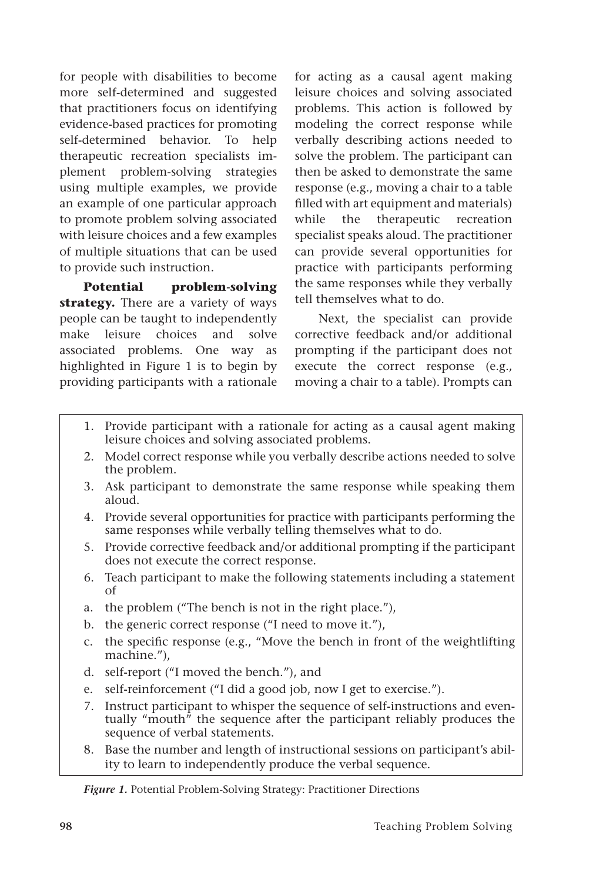for people with disabilities to become more self-determined and suggested that practitioners focus on identifying evidence-based practices for promoting self-determined behavior. To help therapeutic recreation specialists implement problem-solving strategies using multiple examples, we provide an example of one particular approach to promote problem solving associated with leisure choices and a few examples of multiple situations that can be used to provide such instruction.

**Potential problem-solving strategy.** There are a variety of ways people can be taught to independently make leisure choices and solve associated problems. One way as highlighted in Figure 1 is to begin by providing participants with a rationale for acting as a causal agent making leisure choices and solving associated problems. This action is followed by modeling the correct response while verbally describing actions needed to solve the problem. The participant can then be asked to demonstrate the same response (e.g., moving a chair to a table filled with art equipment and materials) while the therapeutic recreation specialist speaks aloud. The practitioner can provide several opportunities for practice with participants performing the same responses while they verbally tell themselves what to do.

Next, the specialist can provide corrective feedback and/or additional prompting if the participant does not execute the correct response (e.g., moving a chair to a table). Prompts can

- 1. Provide participant with a rationale for acting as a causal agent making leisure choices and solving associated problems.
- 2. Model correct response while you verbally describe actions needed to solve the problem.
- 3. Ask participant to demonstrate the same response while speaking them aloud.
- 4. Provide several opportunities for practice with participants performing the same responses while verbally telling themselves what to do.
- 5. Provide corrective feedback and/or additional prompting if the participant does not execute the correct response.
- 6. Teach participant to make the following statements including a statement of
- a. the problem ("The bench is not in the right place."),
- b. the generic correct response ("I need to move it."),
- c. the specific response (e.g., "Move the bench in front of the weightlifting machine."),
- d. self-report ("I moved the bench."), and
- e. self-reinforcement ("I did a good job, now I get to exercise.").
- 7. Instruct participant to whisper the sequence of self-instructions and eventually "mouth" the sequence after the participant reliably produces the sequence of verbal statements.
- 8. Base the number and length of instructional sessions on participant's ability to learn to independently produce the verbal sequence.

*Figure 1.* Potential Problem-Solving Strategy: Practitioner Directions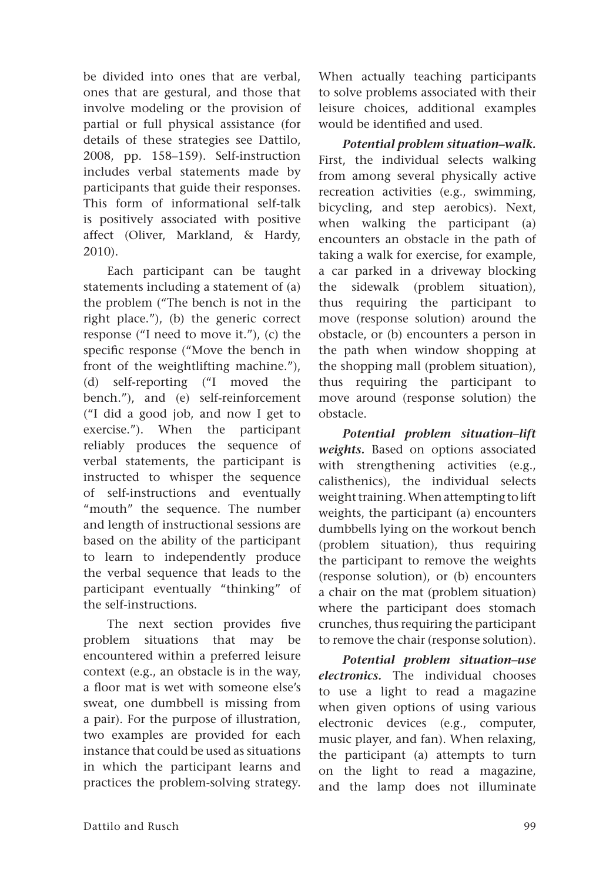be divided into ones that are verbal, ones that are gestural, and those that involve modeling or the provision of partial or full physical assistance (for details of these strategies see Dattilo, 2008, pp. 158–159). Self-instruction includes verbal statements made by participants that guide their responses. This form of informational self-talk is positively associated with positive affect (Oliver, Markland, & Hardy, 2010).

Each participant can be taught statements including a statement of (a) the problem ("The bench is not in the right place."), (b) the generic correct response ("I need to move it."), (c) the specific response ("Move the bench in front of the weightlifting machine."), (d) self-reporting ("I moved the bench."), and (e) self-reinforcement ("I did a good job, and now I get to exercise."). When the participant reliably produces the sequence of verbal statements, the participant is instructed to whisper the sequence of self-instructions and eventually "mouth" the sequence. The number and length of instructional sessions are based on the ability of the participant to learn to independently produce the verbal sequence that leads to the participant eventually "thinking" of the self-instructions.

The next section provides five problem situations that may be encountered within a preferred leisure context (e.g., an obstacle is in the way, a floor mat is wet with someone else's sweat, one dumbbell is missing from a pair). For the purpose of illustration, two examples are provided for each instance that could be used as situations in which the participant learns and practices the problem-solving strategy. When actually teaching participants to solve problems associated with their leisure choices, additional examples would be identified and used.

*Potential problem situation–walk.*  First, the individual selects walking from among several physically active recreation activities (e.g., swimming, bicycling, and step aerobics). Next, when walking the participant (a) encounters an obstacle in the path of taking a walk for exercise, for example, a car parked in a driveway blocking the sidewalk (problem situation), thus requiring the participant to move (response solution) around the obstacle, or (b) encounters a person in the path when window shopping at the shopping mall (problem situation), thus requiring the participant to move around (response solution) the obstacle.

*Potential problem situation–lift weights.* Based on options associated with strengthening activities (e.g., calisthenics), the individual selects weight training. When attempting to lift weights, the participant (a) encounters dumbbells lying on the workout bench (problem situation), thus requiring the participant to remove the weights (response solution), or (b) encounters a chair on the mat (problem situation) where the participant does stomach crunches, thus requiring the participant to remove the chair (response solution).

*Potential problem situation–use electronics.* The individual chooses to use a light to read a magazine when given options of using various electronic devices (e.g., computer, music player, and fan). When relaxing, the participant (a) attempts to turn on the light to read a magazine, and the lamp does not illuminate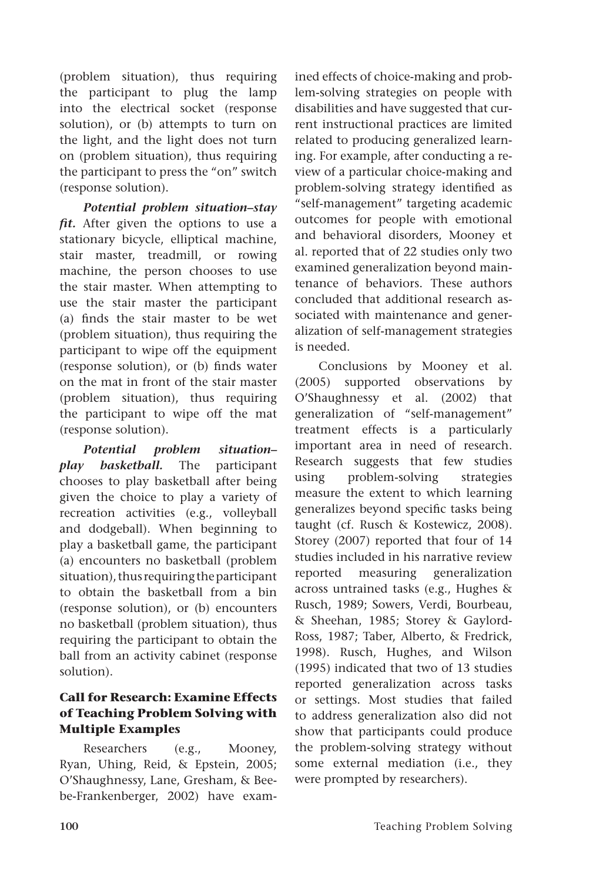(problem situation), thus requiring the participant to plug the lamp into the electrical socket (response solution), or (b) attempts to turn on the light, and the light does not turn on (problem situation), thus requiring the participant to press the "on" switch (response solution).

*Potential problem situation–stay fit.* After given the options to use a stationary bicycle, elliptical machine, stair master, treadmill, or rowing machine, the person chooses to use the stair master. When attempting to use the stair master the participant (a) finds the stair master to be wet (problem situation), thus requiring the participant to wipe off the equipment (response solution), or (b) finds water on the mat in front of the stair master (problem situation), thus requiring the participant to wipe off the mat (response solution).

*Potential problem situation– play basketball.* The participant chooses to play basketball after being given the choice to play a variety of recreation activities (e.g., volleyball and dodgeball). When beginning to play a basketball game, the participant (a) encounters no basketball (problem situation), thus requiring the participant to obtain the basketball from a bin (response solution), or (b) encounters no basketball (problem situation), thus requiring the participant to obtain the ball from an activity cabinet (response solution).

# **Call for Research: Examine Effects of Teaching Problem Solving with Multiple Examples**

Researchers (e.g., Mooney, Ryan, Uhing, Reid, & Epstein, 2005; O'Shaughnessy, Lane, Gresham, & Beebe-Frankenberger, 2002) have examined effects of choice-making and problem-solving strategies on people with disabilities and have suggested that current instructional practices are limited related to producing generalized learning. For example, after conducting a review of a particular choice-making and problem-solving strategy identified as "self-management" targeting academic outcomes for people with emotional and behavioral disorders, Mooney et al. reported that of 22 studies only two examined generalization beyond maintenance of behaviors. These authors concluded that additional research associated with maintenance and generalization of self-management strategies is needed.

Conclusions by Mooney et al. (2005) supported observations by O'Shaughnessy et al. (2002) that generalization of "self-management" treatment effects is a particularly important area in need of research. Research suggests that few studies using problem-solving strategies measure the extent to which learning generalizes beyond specific tasks being taught (cf. Rusch & Kostewicz, 2008). Storey (2007) reported that four of 14 studies included in his narrative review reported measuring generalization across untrained tasks (e.g., Hughes & Rusch, 1989; Sowers, Verdi, Bourbeau, & Sheehan, 1985; Storey & Gaylord-Ross, 1987; Taber, Alberto, & Fredrick, 1998). Rusch, Hughes, and Wilson (1995) indicated that two of 13 studies reported generalization across tasks or settings. Most studies that failed to address generalization also did not show that participants could produce the problem-solving strategy without some external mediation (i.e., they were prompted by researchers).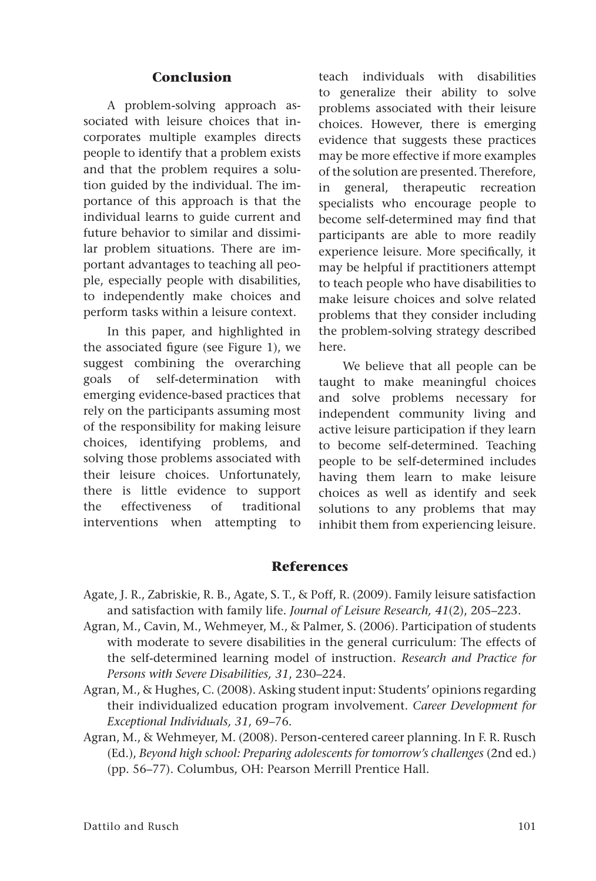#### **Conclusion**

A problem-solving approach associated with leisure choices that incorporates multiple examples directs people to identify that a problem exists and that the problem requires a solution guided by the individual. The importance of this approach is that the individual learns to guide current and future behavior to similar and dissimilar problem situations. There are important advantages to teaching all people, especially people with disabilities, to independently make choices and perform tasks within a leisure context.

In this paper, and highlighted in the associated figure (see Figure 1), we suggest combining the overarching goals of self-determination with emerging evidence-based practices that rely on the participants assuming most of the responsibility for making leisure choices, identifying problems, and solving those problems associated with their leisure choices. Unfortunately, there is little evidence to support the effectiveness of traditional interventions when attempting to teach individuals with disabilities to generalize their ability to solve problems associated with their leisure choices. However, there is emerging evidence that suggests these practices may be more effective if more examples of the solution are presented. Therefore, in general, therapeutic recreation specialists who encourage people to become self-determined may find that participants are able to more readily experience leisure. More specifically, it may be helpful if practitioners attempt to teach people who have disabilities to make leisure choices and solve related problems that they consider including the problem-solving strategy described here.

We believe that all people can be taught to make meaningful choices and solve problems necessary for independent community living and active leisure participation if they learn to become self-determined. Teaching people to be self-determined includes having them learn to make leisure choices as well as identify and seek solutions to any problems that may inhibit them from experiencing leisure.

#### **References**

- Agate, J. R., Zabriskie, R. B., Agate, S. T., & Poff, R. (2009). Family leisure satisfaction and satisfaction with family life. *Journal of Leisure Research, 41*(2), 205–223.
- Agran, M., Cavin, M., Wehmeyer, M., & Palmer, S. (2006). Participation of students with moderate to severe disabilities in the general curriculum: The effects of the self-determined learning model of instruction. *Research and Practice for Persons with Severe Disabilities, 31*, 230–224.
- Agran, M., & Hughes, C. (2008). Asking student input: Students' opinions regarding their individualized education program involvement. *Career Development for Exceptional Individuals, 31*, 69–76.
- Agran, M., & Wehmeyer, M. (2008). Person-centered career planning. In F. R. Rusch (Ed.), *Beyond high school: Preparing adolescents for tomorrow's challenges* (2nd ed.) (pp. 56–77). Columbus, OH: Pearson Merrill Prentice Hall.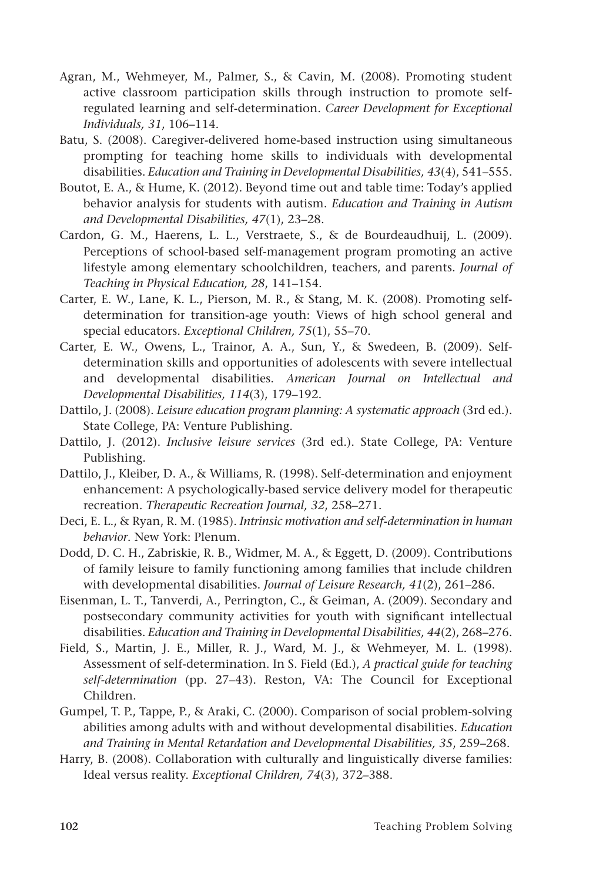- Agran, M., Wehmeyer, M., Palmer, S., & Cavin, M. (2008). Promoting student active classroom participation skills through instruction to promote selfregulated learning and self-determination. *Career Development for Exceptional Individuals, 31*, 106–114.
- Batu, S. (2008). Caregiver-delivered home-based instruction using simultaneous prompting for teaching home skills to individuals with developmental disabilities. *Education and Training in Developmental Disabilities, 43*(4), 541–555.
- Boutot, E. A., & Hume, K. (2012). Beyond time out and table time: Today's applied behavior analysis for students with autism. *Education and Training in Autism and Developmental Disabilities, 47*(1), 23–28.
- Cardon, G. M., Haerens, L. L., Verstraete, S., & de Bourdeaudhuij, L. (2009). Perceptions of school-based self-management program promoting an active lifestyle among elementary schoolchildren, teachers, and parents. *Journal of Teaching in Physical Education, 28*, 141–154.
- Carter, E. W., Lane, K. L., Pierson, M. R., & Stang, M. K. (2008). Promoting selfdetermination for transition-age youth: Views of high school general and special educators. *Exceptional Children, 75*(1), 55–70.
- Carter, E. W., Owens, L., Trainor, A. A., Sun, Y., & Swedeen, B. (2009). Selfdetermination skills and opportunities of adolescents with severe intellectual and developmental disabilities. *American Journal on Intellectual and Developmental Disabilities, 114*(3), 179–192.
- Dattilo, J. (2008). *Leisure education program planning: A systematic approach* (3rd ed.). State College, PA: Venture Publishing.
- Dattilo, J. (2012). *Inclusive leisure services* (3rd ed.). State College, PA: Venture Publishing.
- Dattilo, J., Kleiber, D. A., & Williams, R. (1998). Self-determination and enjoyment enhancement: A psychologically-based service delivery model for therapeutic recreation. *Therapeutic Recreation Journal, 32*, 258–271.
- Deci, E. L., & Ryan, R. M. (1985). *Intrinsic motivation and self-determination in human behavior*. New York: Plenum.
- Dodd, D. C. H., Zabriskie, R. B., Widmer, M. A., & Eggett, D. (2009). Contributions of family leisure to family functioning among families that include children with developmental disabilities. *Journal of Leisure Research, 41*(2), 261–286.
- Eisenman, L. T., Tanverdi, A., Perrington, C., & Geiman, A. (2009). Secondary and postsecondary community activities for youth with significant intellectual disabilities. *Education and Training in Developmental Disabilities, 44*(2), 268–276.
- Field, S., Martin, J. E., Miller, R. J., Ward, M. J., & Wehmeyer, M. L. (1998). Assessment of self-determination. In S. Field (Ed.), *A practical guide for teaching self-determination* (pp. 27–43). Reston, VA: The Council for Exceptional Children.
- Gumpel, T. P., Tappe, P., & Araki, C. (2000). Comparison of social problem-solving abilities among adults with and without developmental disabilities. *Education and Training in Mental Retardation and Developmental Disabilities, 35*, 259–268.
- Harry, B. (2008). Collaboration with culturally and linguistically diverse families: Ideal versus reality. *Exceptional Children, 74*(3), 372–388.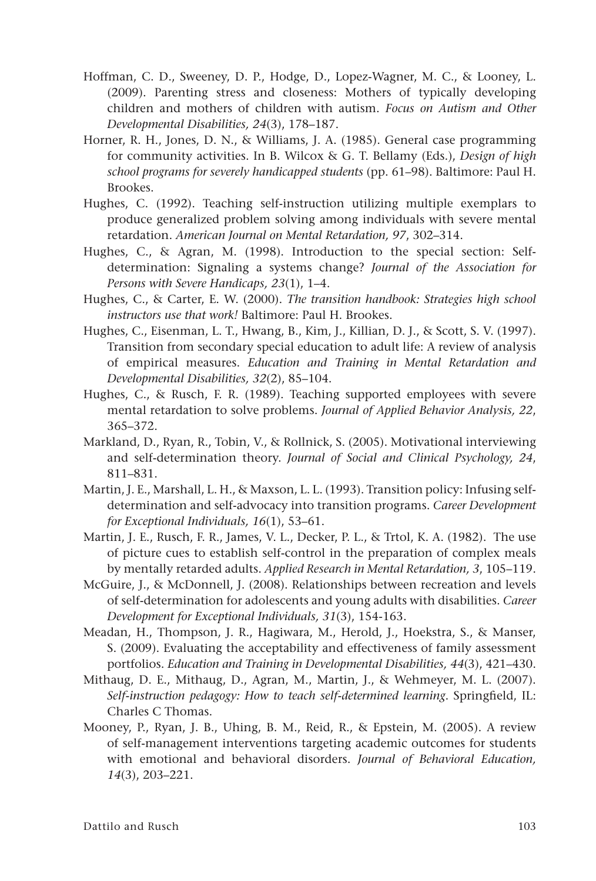- Hoffman, C. D., Sweeney, D. P., Hodge, D., Lopez-Wagner, M. C., & Looney, L. (2009). Parenting stress and closeness: Mothers of typically developing children and mothers of children with autism. *Focus on Autism and Other Developmental Disabilities, 24*(3), 178–187.
- Horner, R. H., Jones, D. N., & Williams, J. A. (1985). General case programming for community activities. In B. Wilcox & G. T. Bellamy (Eds.), *Design of high school programs for severely handicapped students* (pp. 61–98). Baltimore: Paul H. Brookes.
- Hughes, C. (1992). Teaching self-instruction utilizing multiple exemplars to produce generalized problem solving among individuals with severe mental retardation. *American Journal on Mental Retardation, 97*, 302–314.
- Hughes, C., & Agran, M. (1998). Introduction to the special section: Selfdetermination: Signaling a systems change? *Journal of the Association for Persons with Severe Handicaps, 23*(1), 1–4.
- Hughes, C., & Carter, E. W. (2000). *The transition handbook: Strategies high school instructors use that work!* Baltimore: Paul H. Brookes.
- Hughes, C., Eisenman, L. T., Hwang, B., Kim, J., Killian, D. J., & Scott, S. V. (1997). Transition from secondary special education to adult life: A review of analysis of empirical measures. *Education and Training in Mental Retardation and Developmental Disabilities, 32*(2), 85–104.
- Hughes, C., & Rusch, F. R. (1989). Teaching supported employees with severe mental retardation to solve problems. *Journal of Applied Behavior Analysis, 22*, 365–372.
- Markland, D., Ryan, R., Tobin, V., & Rollnick, S. (2005). Motivational interviewing and self-determination theory. *Journal of Social and Clinical Psychology, 24*, 811–831.
- Martin, J. E., Marshall, L. H., & Maxson, L. L. (1993). Transition policy: Infusing selfdetermination and self-advocacy into transition programs. *Career Development for Exceptional Individuals, 16*(1), 53–61.
- Martin, J. E., Rusch, F. R., James, V. L., Decker, P. L., & Trtol, K. A. (1982). The use of picture cues to establish self-control in the preparation of complex meals by mentally retarded adults. *Applied Research in Mental Retardation, 3*, 105–119.
- McGuire, J., & McDonnell, J. (2008). Relationships between recreation and levels of self-determination for adolescents and young adults with disabilities. *Career Development for Exceptional Individuals, 31*(3), 154-163.
- Meadan, H., Thompson, J. R., Hagiwara, M., Herold, J., Hoekstra, S., & Manser, S. (2009). Evaluating the acceptability and effectiveness of family assessment portfolios. *Education and Training in Developmental Disabilities, 44*(3), 421–430.
- Mithaug, D. E., Mithaug, D., Agran, M., Martin, J., & Wehmeyer, M. L. (2007). *Self-instruction pedagogy: How to teach self-determined learning*. Springfield, IL: Charles C Thomas.
- Mooney, P., Ryan, J. B., Uhing, B. M., Reid, R., & Epstein, M. (2005). A review of self-management interventions targeting academic outcomes for students with emotional and behavioral disorders. *Journal of Behavioral Education, 14*(3), 203–221.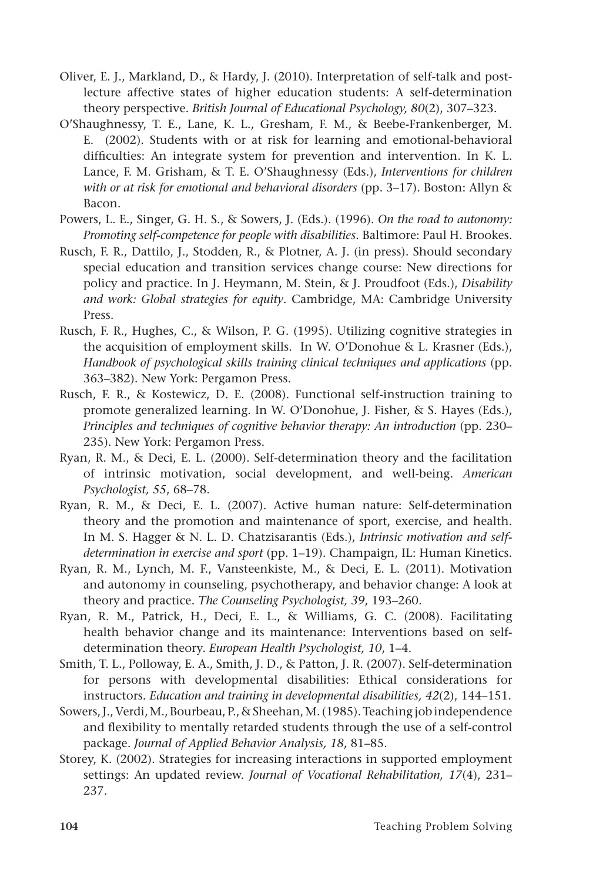- Oliver, E. J., Markland, D., & Hardy, J. (2010). Interpretation of self-talk and postlecture affective states of higher education students: A self-determination theory perspective. *British Journal of Educational Psychology, 80*(2), 307–323.
- O'Shaughnessy, T. E., Lane, K. L., Gresham, F. M., & Beebe-Frankenberger, M. E. (2002). Students with or at risk for learning and emotional-behavioral difficulties: An integrate system for prevention and intervention. In K. L. Lance, F. M. Grisham, & T. E. O'Shaughnessy (Eds.), *Interventions for children with or at risk for emotional and behavioral disorders* (pp. 3–17). Boston: Allyn & Bacon.
- Powers, L. E., Singer, G. H. S., & Sowers, J. (Eds.). (1996). *On the road to autonomy: Promoting self-competence for people with disabilities.* Baltimore: Paul H. Brookes.
- Rusch, F. R., Dattilo, J., Stodden, R., & Plotner, A. J. (in press). Should secondary special education and transition services change course: New directions for policy and practice. In J. Heymann, M. Stein, & J. Proudfoot (Eds.), *Disability and work: Global strategies for equity*. Cambridge, MA: Cambridge University Press.
- Rusch, F. R., Hughes, C., & Wilson, P. G. (1995). Utilizing cognitive strategies in the acquisition of employment skills. In W. O'Donohue & L. Krasner (Eds.), *Handbook of psychological skills training clinical techniques and applications* (pp. 363–382). New York: Pergamon Press.
- Rusch, F. R., & Kostewicz, D. E. (2008). Functional self-instruction training to promote generalized learning. In W. O'Donohue, J. Fisher, & S. Hayes (Eds.), *Principles and techniques of cognitive behavior therapy: An introduction* (pp. 230– 235). New York: Pergamon Press.
- Ryan, R. M., & Deci, E. L. (2000). Self-determination theory and the facilitation of intrinsic motivation, social development, and well-being. *American Psychologist, 55*, 68–78.
- Ryan, R. M., & Deci, E. L. (2007). Active human nature: Self-determination theory and the promotion and maintenance of sport, exercise, and health. In M. S. Hagger & N. L. D. Chatzisarantis (Eds.), *Intrinsic motivation and selfdetermination in exercise and sport* (pp. 1–19). Champaign, IL: Human Kinetics.
- Ryan, R. M., Lynch, M. F., Vansteenkiste, M., & Deci, E. L. (2011). Motivation and autonomy in counseling, psychotherapy, and behavior change: A look at theory and practice. *The Counseling Psychologist, 39*, 193–260.
- Ryan, R. M., Patrick, H., Deci, E. L., & Williams, G. C. (2008). Facilitating health behavior change and its maintenance: Interventions based on selfdetermination theory. *European Health Psychologist, 10*, 1–4.
- Smith, T. L., Polloway, E. A., Smith, J. D., & Patton, J. R. (2007). Self-determination for persons with developmental disabilities: Ethical considerations for instructors. *Education and training in developmental disabilities, 42*(2), 144–151.
- Sowers, J., Verdi, M., Bourbeau, P., & Sheehan, M. (1985). Teaching job independence and flexibility to mentally retarded students through the use of a self-control package. *Journal of Applied Behavior Analysis, 18*, 81–85.
- Storey, K. (2002). Strategies for increasing interactions in supported employment settings: An updated review. *Journal of Vocational Rehabilitation, 17*(4), 231– 237.